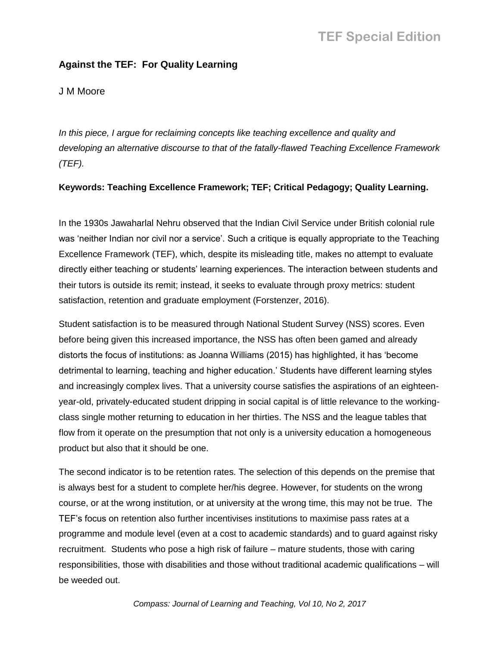## **Against the TEF: For Quality Learning**

## J M Moore

In this piece, I argue for reclaiming concepts like teaching excellence and quality and *developing an alternative discourse to that of the fatally-flawed Teaching Excellence Framework (TEF).*

#### **Keywords: Teaching Excellence Framework; TEF; Critical Pedagogy; Quality Learning.**

In the 1930s Jawaharlal Nehru observed that the Indian Civil Service under British colonial rule was 'neither Indian nor civil nor a service'. Such a critique is equally appropriate to the Teaching Excellence Framework (TEF), which, despite its misleading title, makes no attempt to evaluate directly either teaching or students' learning experiences. The interaction between students and their tutors is outside its remit; instead, it seeks to evaluate through proxy metrics: student satisfaction, retention and graduate employment (Forstenzer, 2016).

Student satisfaction is to be measured through National Student Survey (NSS) scores. Even before being given this increased importance, the NSS has often been gamed and already distorts the focus of institutions: as Joanna Williams (2015) has highlighted, it has 'become detrimental to learning, teaching and higher education.' Students have different learning styles and increasingly complex lives. That a university course satisfies the aspirations of an eighteenyear-old, privately-educated student dripping in social capital is of little relevance to the workingclass single mother returning to education in her thirties. The NSS and the league tables that flow from it operate on the presumption that not only is a university education a homogeneous product but also that it should be one.

The second indicator is to be retention rates. The selection of this depends on the premise that is always best for a student to complete her/his degree. However, for students on the wrong course, or at the wrong institution, or at university at the wrong time, this may not be true. The TEF's focus on retention also further incentivises institutions to maximise pass rates at a programme and module level (even at a cost to academic standards) and to guard against risky recruitment. Students who pose a high risk of failure – mature students, those with caring responsibilities, those with disabilities and those without traditional academic qualifications – will be weeded out.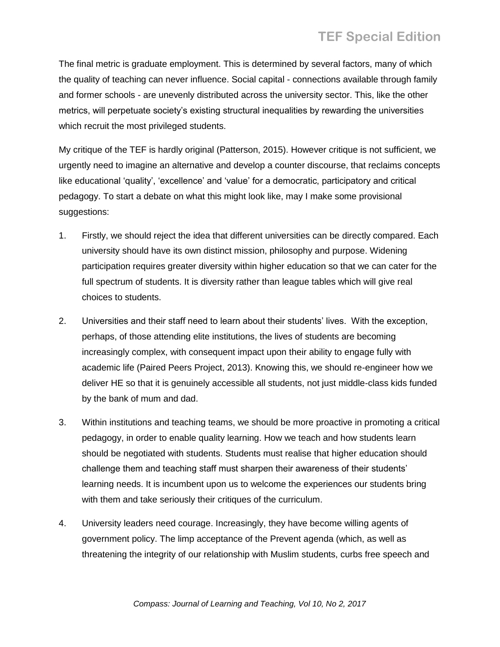# **TEF Special Edition**

The final metric is graduate employment. This is determined by several factors, many of which the quality of teaching can never influence. Social capital - connections available through family and former schools - are unevenly distributed across the university sector. This, like the other metrics, will perpetuate society's existing structural inequalities by rewarding the universities which recruit the most privileged students.

My critique of the TEF is hardly original (Patterson, 2015). However critique is not sufficient, we urgently need to imagine an alternative and develop a counter discourse, that reclaims concepts like educational 'quality', 'excellence' and 'value' for a democratic, participatory and critical pedagogy. To start a debate on what this might look like, may I make some provisional suggestions:

- 1. Firstly, we should reject the idea that different universities can be directly compared. Each university should have its own distinct mission, philosophy and purpose. Widening participation requires greater diversity within higher education so that we can cater for the full spectrum of students. It is diversity rather than league tables which will give real choices to students.
- 2. Universities and their staff need to learn about their students' lives. With the exception, perhaps, of those attending elite institutions, the lives of students are becoming increasingly complex, with consequent impact upon their ability to engage fully with academic life (Paired Peers Project, 2013). Knowing this, we should re-engineer how we deliver HE so that it is genuinely accessible all students, not just middle-class kids funded by the bank of mum and dad.
- 3. Within institutions and teaching teams, we should be more proactive in promoting a critical pedagogy, in order to enable quality learning. How we teach and how students learn should be negotiated with students. Students must realise that higher education should challenge them and teaching staff must sharpen their awareness of their students' learning needs. It is incumbent upon us to welcome the experiences our students bring with them and take seriously their critiques of the curriculum.
- 4. University leaders need courage. Increasingly, they have become willing agents of government policy. The limp acceptance of the Prevent agenda (which, as well as threatening the integrity of our relationship with Muslim students, curbs free speech and